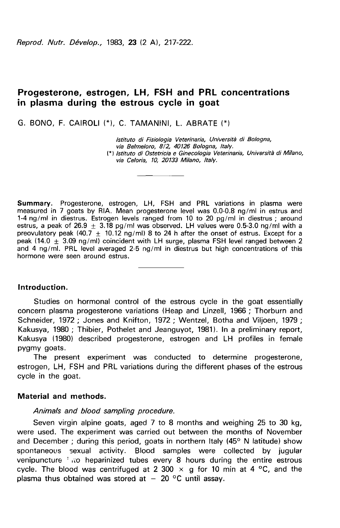Reprod. Nutr. Dévelop., 1983, 23 (2 A), 217-222.

# Progesterone, estrogen, LH, FSH and PRL concentrations in plasma during the estrous cycle in goat

G. BONO, F. CAIROLI (\*), C. TAMANINI, L. ABRATE (\*)

Istituto di Fisiologia Veterinaria, Università di Bologna, via Belmeloro, 8/2, 40126 Bologna, ltaly. (\*) lstituto di Ostetricia e Ginecologia Veterinaria, Università di Milano, via Celoria, 10, 20133 Milano, Italy.

Summary. Progesterone, estrogen, LH, FSH and PRL variations in plasma were measured in 7 goats by RIA. Mean progesterone level was 0.0-0.8 ng/ml in estrus and 1-4 ng/ml in diestrus. Estrogen levels ranged from 10 to 20 pg/ml in diestrus ; around estrus, a peak of 26.9  $\pm$  3.18 pg/ml was observed. LH values were 0.5-3.0 ng/ml with a preovulatory peak (40.7  $\pm$  10.12 ng/ml) 8 to 24 h after the onset of estrus. Except for a peak (14.0  $\pm$  3.09 ng/ml) coincident with LH surge, plasma FSH level ranged between 2 and 4 ng/ml. PRL level averaged 2-5 ng/ml in diestrus but high concentrations of this hormone were seen around estrus.

### Introduction.

Studies on hormonal control of the estrous cycle in the goat essentially concern plasma progesterone variations (Heap and Linzell, 1966 ; Thorburn and Schneider, 1972 ; Jones and Knifton, 1972 ; Wentzel, Botha and Viljoen, 1979 ; Kakusya, 1980 ; Thibier, Pothelet and Jeanguyot, 1981). In a preliminary report. Kakusya (1980) described progesterone, estrogen and LH profiles in female pygmy goats.

The present experiment was conducted to determine progesterone, estrogen, LH, FSH and PRL variations during the different phases of the estrous cycle in the goat.

### Material and methods.

Animals and blood sampling procedure.

Seven virgin alpine goats, aged 7 to 8 months and weighing 25 to 30 kg, were used. The experiment was carried out between the months of November and December ; during this period, goats in northern Italy  $(45^{\circ}$  N latitude) show spontaneous sexual activity. Blood samples were collected by jugular venipuncture  $\frac{1}{2}$  no heparinized tubes every 8 hours during the entire estrous cycle. The blood was centrifuged at 2 300  $\times$  g for 10 min at 4 °C, and the plasma thus obtained was stored at  $-20$  °C until assay.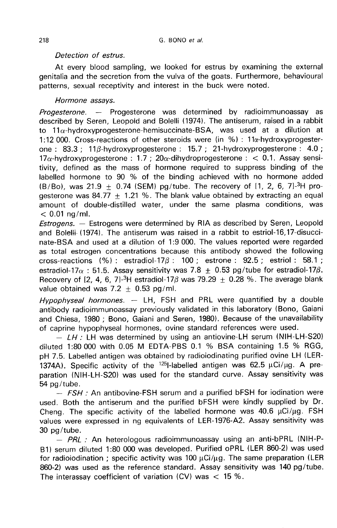## Detection of estrus.

At every blood sampling, we looked for estrus by examining the external genitalia and the secretion from the vulva of the goats. Furthermore, behavioural patterns, sexual receptivity and interest in the buck were noted.

## Hormone assays.

Progesterone. - Progesterone was determined by radioimmunoassay as described by Seren, Leopold and Bolelli (1974). The antiserum, raised in a rabbit to 11a-hydroxyprogesterone-hemisuccinate-BSA, was used at a dilution at 1:12 000. Cross-reactions of other steroids were (in  $%$ ) : 11 $x$ -hydroxyprogesterone :  $83.3 : 11\beta$ -hydroxyprogesterone :  $15.7 : 21$ -hydroxyprogesterone :  $4.0$  ;  $17\alpha$ -hydroxyprogesterone : 1.7 :  $20\alpha$ -dihydroprogesterone : < 0.1. Assay sensitivity, defined as the mass of hormone required to suppress binding of the labelled hormone to 90 % of the binding achieved with no hormone added (B/Bo), was 21.9  $\pm$  0.74 (SEM) pg/tube. The recovery of [1, 2, 6, 7]<sup>-3</sup>H pro-<br>gesterone was 84.77 + 1.21 %. The blank value obtained by extracting an equal amount of double-distilled water, under the same plasma conditions, was  $< 0.01$  ng/ml.

Estrogens. ― Estrogens were determined by RIA as described by Seren, Leopold and Bolelii (1974). The antiserum was raised in a rabbit to estriol-16,17-disuccinate-BSA and used at a dilution of 1:9 000. The values reported were regarded as total estrogen concentrations because this antibody showed the following cross-reactions (%): estradiol-17 $\beta$ : 100; estrone: 92.5; estriol: 58.1; estradiol-17 $\alpha$  : 51.5. Assay sensitivity was 7.8  $\pm$  0.53 pg/tube for estradiol-17 $\beta$ . cross-reactions (%). estradiol-17 $\beta$ . 100, estrone 32.5, estrior. 36.1,<br>estradiol-17 $\alpha$ : 51.5. Assay sensitivity was 7.8  $\pm$  0.53 pg/tube for estradiol-17 $\beta$ .<br>Recovery of [2, 4, 6, 7]-<sup>3</sup>H estradiol-17 $\beta$  was 79.29 value obtained was  $7.2 \pm 0.53$  pg/ml.

Hypophyseal hormones.  $-$  LH, FSH and PRL were quantified by a double antibody radioimmunoassay previously validated in this laboratory (Bono, Gaiani and Chiesa, 1980 ; Bono, Gaiani and Seren, 1980). Because of the unavailability of caprine hypophyseal hormones, ovine standard references were used.

 $-LH$ : LH was determined by using an antiovine-LH serum (NIH-LH-S20) diluted 1:80 000 with 0.05 M EDTA-PBS 0.1 % BSA containing 1.5 % RGG, pH 7.5. Labelled antigen was obtained by radioiodinating purified ovine LH (LER-1374A). Specific activity of the  $1251$ -labelled antigen was 62.5  $\mu$ Ci/ $\mu$ g. A preparation (NIH-LH-S20) was used for the standard curve. Assay sensitivity was<br>54 pg/tube.

 $-$  FSH : An antibovine-FSH serum and a purified bFSH for iodination were used. Both the antiserum and the purified bFSH were kindly supplied by Dr. b4 pg/tube.<br>— *FSH :* An antibovine-FSH serum and a purified bFSH for iodination were<br>used. Both the antiserum and the purified bFSH were kindly supplied by Dr.<br>Cheng. The specific activity of the labelled hormone was 40. values were expressed in ng equivalents of LER-1976-A2. Assay sensitivity was 30 pg/tube.<br>- *PRL*: An heterologous radioimmunoassay using an anti-bPRL (NIH-P-

B1) serum diluted 1:80 000 was developed. Purified oPRL (LER 860-2) was used for pg/tube.<br>
- *PRL :* An heterologous radioimmunoassay using an anti-bPRL (NIH-P-<br>
B1) serum diluted 1:80 000 was developed. Purified oPRL (LER 860-2) was used<br>
for radioiodination ; specific activity was 100 μCi/μg. Th 860-2) was used as the reference standard. Assay sensitivity was 140 pg/tube. The interassay coefficient of variation  $(CV)$  was  $<$  15 %.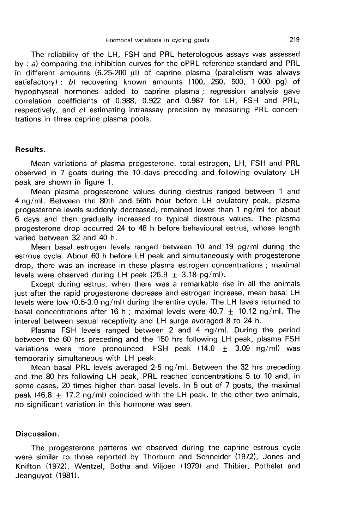The reliability of the LH, FSH and PRL heterologous assays was assessed by :  $a$ ) comparing the inhibition curves for the oPRL reference standard and PRL  $\overline{p}$  in different amounts (6.25-200  $\mu$ I) of caprine plasma (parallelism was always satisfactory) ; b) recovering known amounts (100, 250, 500, 1 000 pg) of hypophyseal hormones added to caprine plasma ; regression analysis gave correlation coefficients of 0.988, 0.922 and 0.987 for LH, FSH and PRL, respectively, and c) estimating intraassay precision by measuring PRL concentrations in three caprine plasma pools.

### Results.

Mean variations of plasma progesterone, total estrogen, LH, FSH and PRL observed in 7 goats during the 10 days preceding and following ovulatory LH peak are shown in figure 1.

Mean plasma progesterone values during diestrus ranged between 1 and 4 ng/ml. Between the 80th and 56th hour before LH ovulatory peak, plasma progesterone levels suddenly decreased, remained lower than 1 ng/ml for about 6 days and then gradually increased to typical diestrous values. The plasma progesterone drop occurred 24 to 48 h before behavioural estrus, whose length varied between 32 and 40 h.

Mean basal estrogen levels ranged between 10 and 19 pg/ml during the estrous cycle. About 60 h before LH peak and simultaneously with progesterone drop, there was an increase in these plasma estrogen concentrations ; maximal levels were observed during LH peak  $(26.9 + 3.18 \text{ pg/ml})$ .

Except during estrus, when there was a remarkable rise in all the animals just after the rapid progesterone decrease and estrogen increase, mean basal LH levels were low (0.5-3.0 ng/ml) during the entire cycle. The LH levels returned to basal concentrations after 16 h ; maximal levels were 40.7  $\pm$  10.12 ng/ml. The interval between sexual receptivity and LH surge averaged 8 to 24 h.

Plasma FSH levels ranged between 2 and 4 ng/ml. During the period between the 60 hrs preceding and the 150 hrs following LH peak, plasma FSH variations were more pronounced. FSH peak  $(14.0 + 3.09 \text{ ng/ml})$  was temporarily simultaneous with LH peak.

Mean basal PRL levels averaged 2-5 ng/ml. Between the 32 hrs preceding and the 80 hrs following LH peak, PRL reached concentrations 5 to 10 and, in some cases, 20 times higher than basal levels. In 5 out of 7 goats, the maximal peak (46,8  $+$  17.2 ng/ml) coincided with the LH peak. In the other two animals, no significant variation in this hormone was seen.

### Discussion.

The progesterone patterns we observed during the caprine estrous cycle were similar to those reported by Thorburn and Schneider (1972), Jones and Knifton (1972), Wentzel, Botha and Viljoen (1979) and Thibier, Pothelet and Jeanguyot (1981).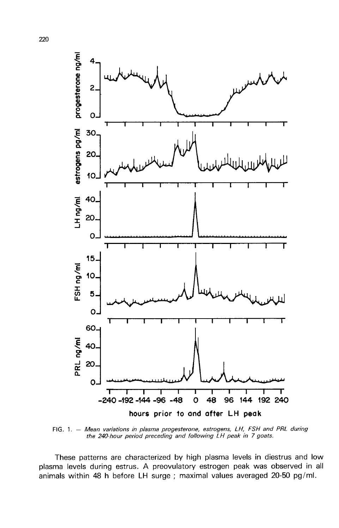

FIG. 1. - Mean variations in plasma progesterone, estrogens, LH, FSH and PRL during the 240-hour period preceding and following LH peak in 7 goats.

These patterns are characterized by high plasma levels in diestrus and low plasma levels during estrus. A preovulatory estrogen peak was observed in all animals within 48 h before LH surge ; maximal values averaged 20-50 pg/ml.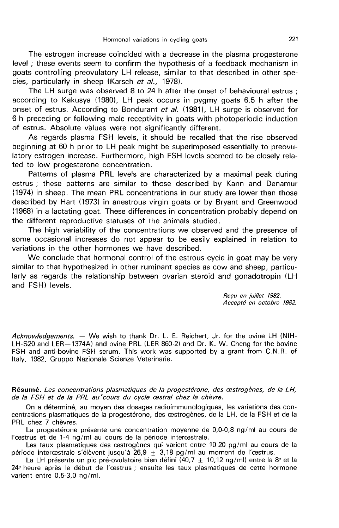The estrogen increase coincided with a decrease in the plasma progesterone level ; these events seem to confirm the hypothesis of a feedback mechanism in goats controlling preovulatory LH release, similar to that described in other species, particularly in sheep (Karsch et al., 1978).

The LH surge was observed 8 to 24 h after the onset of behavioural estrus ; according to Kakusya (1980), LH peak occurs in pygmy goats 6.5 h after the onset of estrus. According to Bondurant et al. (1981), LH surge is observed for 6 h preceding or following male receptivity in goats with photoperiodic induction of estrus. Absolute values were not significantly different.

As regards plasma FSH levels, it should be recalled that the rise observed beginning at 60 h prior to LH peak might be superimposed essentially to preovulatory estrogen increase. Furthermore, high FSH levels seemed to be closely related to low progesterone concentration.

Patterns of plasma PRL levels are characterized by a maximal peak during estrus ; these patterns are similar to those described by Kann and Denamur (1974) in sheep. The mean PRL concentrations in our study are lower than those described by Hart (1973) in anestrous virgin goats or by Bryant and Greenwood (1968) in a lactating goat. These differences in concentration probably depend on the different reproductive statuses of the animals studied.

The high variability of the concentrations we observed and the presence of some occasional increases do not appear to be easily explained in relation to variations in the other hormones we have described.

We conclude that hormonal control of the estrous cycle in goat may be very similar to that hypothesized in other ruminant species as cow and sheep, particularly as regards the relationship between ovarian steroid and gonadotropin (LH and FSH) levels.

Reçu en juillet 1982.<br>Accepté en octobre 1982.

Acknowledgements. — We wish to thank Dr. L. E. Reichert, Jr. for the ovine LH (NIH-LH-S20 and LER-1374A) and ovine PRL (LER-860-2) and Dr. K. W. Cheng for the bovine FSH and anti-bovine FSH serum. This work was supported by a grant from C.N.R. of Italy, 1982, Gruppo Nazionale Scienze Veterinarie.

Résumé. Les concentrations plasmatiques de la progestérone, des œstrogènes, de la LH, de la FSH et de la PRL au'cours du cycle cestral chez la chèvre.

On a déterminé, au moyen des dosages radioimmunologiques, les variations des concentrations plasmatiques de la progestérone, des cestrogènes, de la LH, de la FSH et de la PRL chez 7 chèvres.

La progestérone présente une concentration moyenne de 0,0-0,8 ng/ml au cours de l'œstrus et de 1-4 ng/ml au cours de la période interœstrale.

Les taux plasmatiques des oestrogènes qui varient entre 10-20 pg/ml au cours de la période intercestrale s'élèvent jusqu'à 26,9  $\pm$  3,18 pg/ml au moment de l'œstrus.

La LH présente un pic pré-ovulatoire bien défini (40,7  $\pm$  10,12 ng/ml) entre la 8<sup>e</sup> et la 24e heure après le début de l'oestrus ; ensuite les taux plasmatiques de cette hormone varient entre 0,5-3,0 ng/mI.